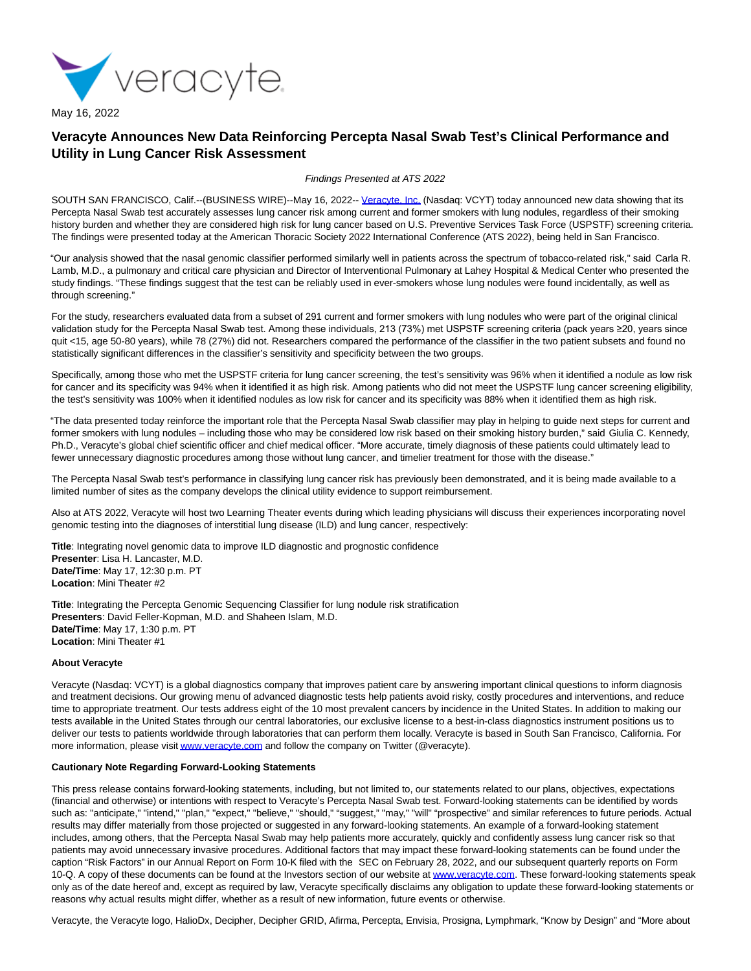

## **Veracyte Announces New Data Reinforcing Percepta Nasal Swab Test's Clinical Performance and Utility in Lung Cancer Risk Assessment**

## Findings Presented at ATS 2022

SOUTH SAN FRANCISCO, Calif.--(BUSINESS WIRE)--May 16, 2022-- [Veracyte, Inc. \(](https://cts.businesswire.com/ct/CT?id=smartlink&url=https%3A%2F%2Fwww.veracyte.com%2F&esheet=52721433&newsitemid=20220516006017&lan=en-US&anchor=Veracyte%2C+Inc.&index=1&md5=a46d1c0ce16e515081eb9a90c14275d2)Nasdaq: VCYT) today announced new data showing that its Percepta Nasal Swab test accurately assesses lung cancer risk among current and former smokers with lung nodules, regardless of their smoking history burden and whether they are considered high risk for lung cancer based on U.S. Preventive Services Task Force (USPSTF) screening criteria. The findings were presented today at the American Thoracic Society 2022 International Conference (ATS 2022), being held in San Francisco.

"Our analysis showed that the nasal genomic classifier performed similarly well in patients across the spectrum of tobacco-related risk," said Carla R. Lamb, M.D., a pulmonary and critical care physician and Director of Interventional Pulmonary at Lahey Hospital & Medical Center who presented the study findings. "These findings suggest that the test can be reliably used in ever-smokers whose lung nodules were found incidentally, as well as through screening."

For the study, researchers evaluated data from a subset of 291 current and former smokers with lung nodules who were part of the original clinical validation study for the Percepta Nasal Swab test. Among these individuals, 213 (73%) met USPSTF screening criteria (pack years ≥20, years since quit <15, age 50-80 years), while 78 (27%) did not. Researchers compared the performance of the classifier in the two patient subsets and found no statistically significant differences in the classifier's sensitivity and specificity between the two groups.

Specifically, among those who met the USPSTF criteria for lung cancer screening, the test's sensitivity was 96% when it identified a nodule as low risk for cancer and its specificity was 94% when it identified it as high risk. Among patients who did not meet the USPSTF lung cancer screening eligibility, the test's sensitivity was 100% when it identified nodules as low risk for cancer and its specificity was 88% when it identified them as high risk.

"The data presented today reinforce the important role that the Percepta Nasal Swab classifier may play in helping to guide next steps for current and former smokers with lung nodules – including those who may be considered low risk based on their smoking history burden," said Giulia C. Kennedy, Ph.D., Veracyte's global chief scientific officer and chief medical officer. "More accurate, timely diagnosis of these patients could ultimately lead to fewer unnecessary diagnostic procedures among those without lung cancer, and timelier treatment for those with the disease."

The Percepta Nasal Swab test's performance in classifying lung cancer risk has previously been demonstrated, and it is being made available to a limited number of sites as the company develops the clinical utility evidence to support reimbursement.

Also at ATS 2022, Veracyte will host two Learning Theater events during which leading physicians will discuss their experiences incorporating novel genomic testing into the diagnoses of interstitial lung disease (ILD) and lung cancer, respectively:

**Title**: Integrating novel genomic data to improve ILD diagnostic and prognostic confidence **Presenter**: Lisa H. Lancaster, M.D. **Date/Time**: May 17, 12:30 p.m. PT **Location**: Mini Theater #2

**Title**: Integrating the Percepta Genomic Sequencing Classifier for lung nodule risk stratification **Presenters**: David Feller-Kopman, M.D. and Shaheen Islam, M.D. **Date/Time**: May 17, 1:30 p.m. PT **Location**: Mini Theater #1

## **About Veracyte**

Veracyte (Nasdaq: VCYT) is a global diagnostics company that improves patient care by answering important clinical questions to inform diagnosis and treatment decisions. Our growing menu of advanced diagnostic tests help patients avoid risky, costly procedures and interventions, and reduce time to appropriate treatment. Our tests address eight of the 10 most prevalent cancers by incidence in the United States. In addition to making our tests available in the United States through our central laboratories, our exclusive license to a best-in-class diagnostics instrument positions us to deliver our tests to patients worldwide through laboratories that can perform them locally. Veracyte is based in South San Francisco, California. For more information, please visi[t www.veracyte.com a](https://cts.businesswire.com/ct/CT?id=smartlink&url=http%3A%2F%2Fwww.veracyte.com&esheet=52721433&newsitemid=20220516006017&lan=en-US&anchor=www.veracyte.com&index=2&md5=293211461c0afeda1900fc335c35a2a3)nd follow the company on Twitter (@veracyte).

## **Cautionary Note Regarding Forward-Looking Statements**

This press release contains forward-looking statements, including, but not limited to, our statements related to our plans, objectives, expectations (financial and otherwise) or intentions with respect to Veracyte's Percepta Nasal Swab test. Forward-looking statements can be identified by words such as: "anticipate," "intend," "plan," "expect," "believe," "should," "suggest," "may," "will" "prospective" and similar references to future periods. Actual results may differ materially from those projected or suggested in any forward-looking statements. An example of a forward-looking statement includes, among others, that the Percepta Nasal Swab may help patients more accurately, quickly and confidently assess lung cancer risk so that patients may avoid unnecessary invasive procedures. Additional factors that may impact these forward-looking statements can be found under the caption "Risk Factors" in our Annual Report on Form 10-K filed with the SEC on February 28, 2022, and our subsequent quarterly reports on Form 10-Q. A copy of these documents can be found at the Investors section of our website a[t www.veracyte.com.](https://cts.businesswire.com/ct/CT?id=smartlink&url=http%3A%2F%2Fwww.veracyte.com&esheet=52721433&newsitemid=20220516006017&lan=en-US&anchor=www.veracyte.com&index=3&md5=6b47b0b6f345dfe718191f6006a0756a) These forward-looking statements speak only as of the date hereof and, except as required by law, Veracyte specifically disclaims any obligation to update these forward-looking statements or reasons why actual results might differ, whether as a result of new information, future events or otherwise.

Veracyte, the Veracyte logo, HalioDx, Decipher, Decipher GRID, Afirma, Percepta, Envisia, Prosigna, Lymphmark, "Know by Design" and "More about